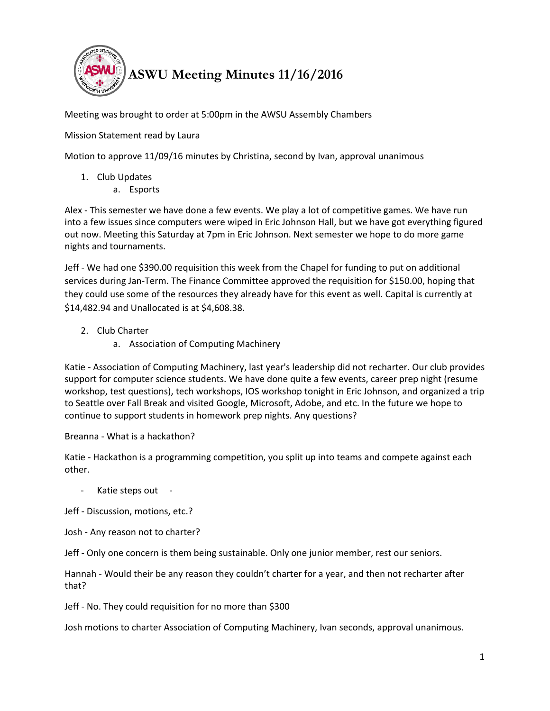

Meeting was brought to order at 5:00pm in the AWSU Assembly Chambers

Mission Statement read by Laura

Motion to approve 11/09/16 minutes by Christina, second by Ivan, approval unanimous

- 1. Club Updates
	- a. Esports

Alex - This semester we have done a few events. We play a lot of competitive games. We have run into a few issues since computers were wiped in Eric Johnson Hall, but we have got everything figured out now. Meeting this Saturday at 7pm in Eric Johnson. Next semester we hope to do more game nights and tournaments.

Jeff - We had one \$390.00 requisition this week from the Chapel for funding to put on additional services during Jan-Term. The Finance Committee approved the requisition for \$150.00, hoping that they could use some of the resources they already have for this event as well. Capital is currently at \$14,482.94 and Unallocated is at \$4,608.38.

- 2. Club Charter
	- a. Association of Computing Machinery

Katie - Association of Computing Machinery, last year's leadership did not recharter. Our club provides support for computer science students. We have done quite a few events, career prep night (resume workshop, test questions), tech workshops, IOS workshop tonight in Eric Johnson, and organized a trip to Seattle over Fall Break and visited Google, Microsoft, Adobe, and etc. In the future we hope to continue to support students in homework prep nights. Any questions?

## Breanna - What is a hackathon?

Katie - Hackathon is a programming competition, you split up into teams and compete against each other.

Katie steps out -

Jeff - Discussion, motions, etc.?

Josh - Any reason not to charter?

Jeff - Only one concern is them being sustainable. Only one junior member, rest our seniors.

Hannah - Would their be any reason they couldn't charter for a year, and then not recharter after that?

Jeff - No. They could requisition for no more than \$300

Josh motions to charter Association of Computing Machinery, Ivan seconds, approval unanimous.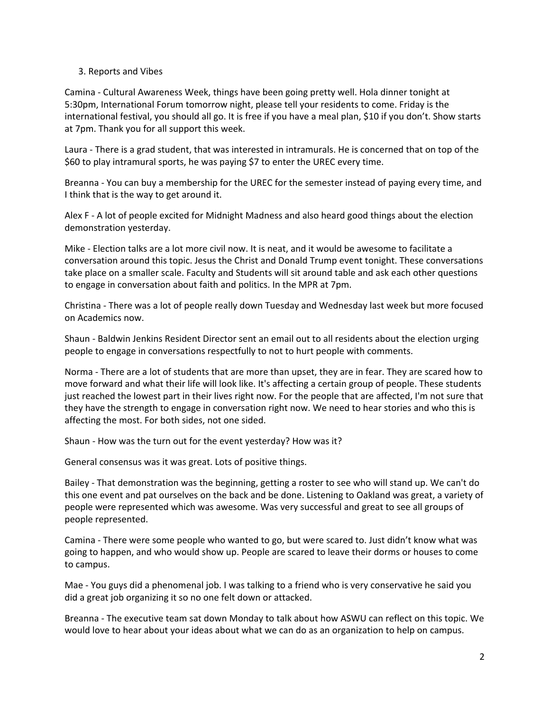## 3. Reports and Vibes

Camina - Cultural Awareness Week, things have been going pretty well. Hola dinner tonight at 5:30pm, International Forum tomorrow night, please tell your residents to come. Friday is the international festival, you should all go. It is free if you have a meal plan, \$10 if you don't. Show starts at 7pm. Thank you for all support this week.

Laura - There is a grad student, that was interested in intramurals. He is concerned that on top of the \$60 to play intramural sports, he was paying \$7 to enter the UREC every time.

Breanna - You can buy a membership for the UREC for the semester instead of paying every time, and I think that is the way to get around it.

Alex F - A lot of people excited for Midnight Madness and also heard good things about the election demonstration yesterday.

Mike - Election talks are a lot more civil now. It is neat, and it would be awesome to facilitate a conversation around this topic. Jesus the Christ and Donald Trump event tonight. These conversations take place on a smaller scale. Faculty and Students will sit around table and ask each other questions to engage in conversation about faith and politics. In the MPR at 7pm.

Christina - There was a lot of people really down Tuesday and Wednesday last week but more focused on Academics now.

Shaun - Baldwin Jenkins Resident Director sent an email out to all residents about the election urging people to engage in conversations respectfully to not to hurt people with comments.

Norma - There are a lot of students that are more than upset, they are in fear. They are scared how to move forward and what their life will look like. It's affecting a certain group of people. These students just reached the lowest part in their lives right now. For the people that are affected, I'm not sure that they have the strength to engage in conversation right now. We need to hear stories and who this is affecting the most. For both sides, not one sided.

Shaun - How was the turn out for the event yesterday? How was it?

General consensus was it was great. Lots of positive things.

Bailey - That demonstration was the beginning, getting a roster to see who will stand up. We can't do this one event and pat ourselves on the back and be done. Listening to Oakland was great, a variety of people were represented which was awesome. Was very successful and great to see all groups of people represented.

Camina - There were some people who wanted to go, but were scared to. Just didn't know what was going to happen, and who would show up. People are scared to leave their dorms or houses to come to campus.

Mae - You guys did a phenomenal job. I was talking to a friend who is very conservative he said you did a great job organizing it so no one felt down or attacked.

Breanna - The executive team sat down Monday to talk about how ASWU can reflect on this topic. We would love to hear about your ideas about what we can do as an organization to help on campus.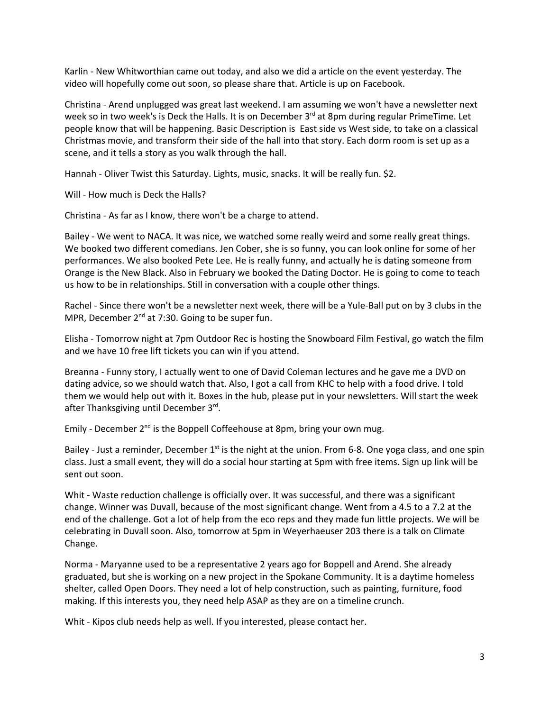Karlin - New Whitworthian came out today, and also we did a article on the event yesterday. The video will hopefully come out soon, so please share that. Article is up on Facebook.

Christina - Arend unplugged was great last weekend. I am assuming we won't have a newsletter next week so in two week's is Deck the Halls. It is on December  $3<sup>rd</sup>$  at 8pm during regular PrimeTime. Let people know that will be happening. Basic Description is East side vs West side, to take on a classical Christmas movie, and transform their side of the hall into that story. Each dorm room is set up as a scene, and it tells a story as you walk through the hall.

Hannah - Oliver Twist this Saturday. Lights, music, snacks. It will be really fun. \$2.

Will - How much is Deck the Halls?

Christina - As far as I know, there won't be a charge to attend.

Bailey - We went to NACA. It was nice, we watched some really weird and some really great things. We booked two different comedians. Jen Cober, she is so funny, you can look online for some of her performances. We also booked Pete Lee. He is really funny, and actually he is dating someone from Orange is the New Black. Also in February we booked the Dating Doctor. He is going to come to teach us how to be in relationships. Still in conversation with a couple other things.

Rachel - Since there won't be a newsletter next week, there will be a Yule-Ball put on by 3 clubs in the MPR, December 2<sup>nd</sup> at 7:30. Going to be super fun.

Elisha - Tomorrow night at 7pm Outdoor Rec is hosting the Snowboard Film Festival, go watch the film and we have 10 free lift tickets you can win if you attend.

Breanna - Funny story, I actually went to one of David Coleman lectures and he gave me a DVD on dating advice, so we should watch that. Also, I got a call from KHC to help with a food drive. I told them we would help out with it. Boxes in the hub, please put in your newsletters. Will start the week after Thanksgiving until December 3<sup>rd</sup>.

Emily - December 2<sup>nd</sup> is the Boppell Coffeehouse at 8pm, bring your own mug.

Bailey - Just a reminder, December  $1<sup>st</sup>$  is the night at the union. From 6-8. One yoga class, and one spin class. Just a small event, they will do a social hour starting at 5pm with free items. Sign up link will be sent out soon.

Whit - Waste reduction challenge is officially over. It was successful, and there was a significant change. Winner was Duvall, because of the most significant change. Went from a 4.5 to a 7.2 at the end of the challenge. Got a lot of help from the eco reps and they made fun little projects. We will be celebrating in Duvall soon. Also, tomorrow at 5pm in Weyerhaeuser 203 there is a talk on Climate Change.

Norma - Maryanne used to be a representative 2 years ago for Boppell and Arend. She already graduated, but she is working on a new project in the Spokane Community. It is a daytime homeless shelter, called Open Doors. They need a lot of help construction, such as painting, furniture, food making. If this interests you, they need help ASAP as they are on a timeline crunch.

Whit - Kipos club needs help as well. If you interested, please contact her.